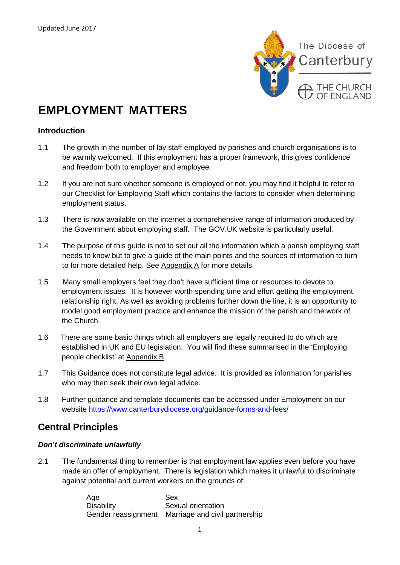

# **EMPLOYMENT MATTERS**

# **Introduction**

- 1.1 The growth in the number of lay staff employed by parishes and church organisations is to be warmly welcomed. If this employment has a proper framework, this gives confidence and freedom both to employer and employee.
- 1.2 If you are not sure whether someone is employed or not, you may find it helpful to refer to our Checklist for Employing Staff which contains the factors to consider when determining employment status.
- 1.3 There is now available on the internet a comprehensive range of information produced by the Government about employing staff. The GOV.UK website is particularly useful.
- 1.4 The purpose of this guide is not to set out all the information which a parish employing staff needs to know but to give a guide of the main points and the sources of information to turn to for more detailed help. See Appendix A for more details.
- 1.5 Many small employers feel they don't have sufficient time or resources to devote to employment issues. It is however worth spending time and effort getting the employment relationship right. As well as avoiding problems further down the line, it is an opportunity to model good employment practice and enhance the mission of the parish and the work of the Church.
- 1.6 There are some basic things which all employers are legally required to do which are established in UK and EU legislation. You will find these summarised in the 'Employing people checklist' at Appendix B.
- 1.7 This Guidance does not constitute legal advice. It is provided as information for parishes who may then seek their own legal advice.
- 1.8 Further guidance and template documents can be accessed under Employment on our website<https://www.canterburydiocese.org/guidance-forms-and-fees/>

# **Central Principles**

## *Don't discriminate unlawfully*

2.1 The fundamental thing to remember is that employment law applies even before you have made an offer of employment. There is legislation which makes it unlawful to discriminate against potential and current workers on the grounds of:

> Age Sex Sexual orientation Gender reassignment Marriage and civil partnership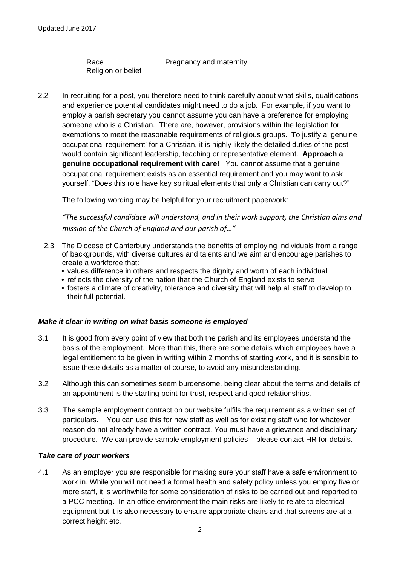Religion or belief

Race Pregnancy and maternity

2.2 In recruiting for a post, you therefore need to think carefully about what skills, qualifications and experience potential candidates might need to do a job. For example, if you want to employ a parish secretary you cannot assume you can have a preference for employing someone who is a Christian. There are, however, provisions within the legislation for exemptions to meet the reasonable requirements of religious groups. To justify a 'genuine occupational requirement' for a Christian, it is highly likely the detailed duties of the post would contain significant leadership, teaching or representative element. **Approach a genuine occupational requirement with care!** You cannot assume that a genuine occupational requirement exists as an essential requirement and you may want to ask yourself, "Does this role have key spiritual elements that only a Christian can carry out?"

The following wording may be helpful for your recruitment paperwork:

*"The successful candidate will understand, and in their work support, the Christian aims and mission of the Church of England and our parish of…"*

- 2.3 The Diocese of Canterbury understands the benefits of employing individuals from a range of backgrounds, with diverse cultures and talents and we aim and encourage parishes to create a workforce that:
	- values difference in others and respects the dignity and worth of each individual
	- reflects the diversity of the nation that the Church of England exists to serve
	- fosters a climate of creativity, tolerance and diversity that will help all staff to develop to their full potential.

## *Make it clear in writing on what basis someone is employed*

- 3.1 It is good from every point of view that both the parish and its employees understand the basis of the employment. More than this, there are some details which employees have a legal entitlement to be given in writing within 2 months of starting work, and it is sensible to issue these details as a matter of course, to avoid any misunderstanding.
- 3.2 Although this can sometimes seem burdensome, being clear about the terms and details of an appointment is the starting point for trust, respect and good relationships.
- 3.3 The sample employment contract on our website fulfils the requirement as a written set of particulars. You can use this for new staff as well as for existing staff who for whatever reason do not already have a written contract. You must have a grievance and disciplinary procedure. We can provide sample employment policies – please contact HR for details.

## *Take care of your workers*

4.1 As an employer you are responsible for making sure your staff have a safe environment to work in. While you will not need a formal health and safety policy unless you employ five or more staff, it is worthwhile for some consideration of risks to be carried out and reported to a PCC meeting. In an office environment the main risks are likely to relate to electrical equipment but it is also necessary to ensure appropriate chairs and that screens are at a correct height etc.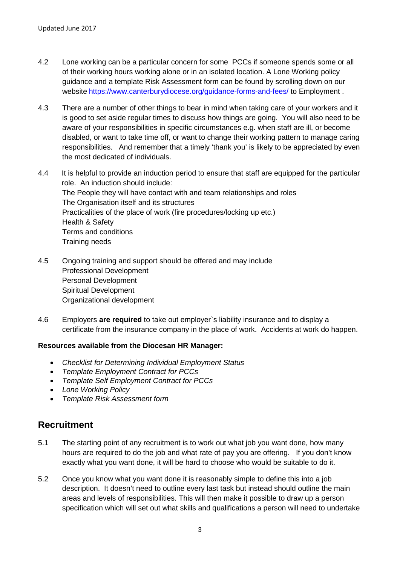- 4.2 Lone working can be a particular concern for some PCCs if someone spends some or all of their working hours working alone or in an isolated location. A Lone Working policy guidance and a template Risk Assessment form can be found by scrolling down on our website <https://www.canterburydiocese.org/guidance-forms-and-fees/> to Employment .
- 4.3 There are a number of other things to bear in mind when taking care of your workers and it is good to set aside regular times to discuss how things are going. You will also need to be aware of your responsibilities in specific circumstances e.g. when staff are ill, or become disabled, or want to take time off, or want to change their working pattern to manage caring responsibilities. And remember that a timely 'thank you' is likely to be appreciated by even the most dedicated of individuals.
- 4.4 It is helpful to provide an induction period to ensure that staff are equipped for the particular role. An induction should include: The People they will have contact with and team relationships and roles The Organisation itself and its structures Practicalities of the place of work (fire procedures/locking up etc.) Health & Safety Terms and conditions Training needs
- 4.5 Ongoing training and support should be offered and may include Professional Development Personal Development Spiritual Development Organizational development
- 4.6 Employers **are required** to take out employer`s liability insurance and to display a certificate from the insurance company in the place of work. Accidents at work do happen.

# **Resources available from the Diocesan HR Manager:**

- *Checklist for Determining Individual Employment Status*
- *Template Employment Contract for PCCs*
- *Template Self Employment Contract for PCCs*
- *Lone Working Policy*
- *Template Risk Assessment form*

# **Recruitment**

- 5.1 The starting point of any recruitment is to work out what job you want done, how many hours are required to do the job and what rate of pay you are offering. If you don't know exactly what you want done, it will be hard to choose who would be suitable to do it.
- 5.2 Once you know what you want done it is reasonably simple to define this into a job description. It doesn't need to outline every last task but instead should outline the main areas and levels of responsibilities. This will then make it possible to draw up a person specification which will set out what skills and qualifications a person will need to undertake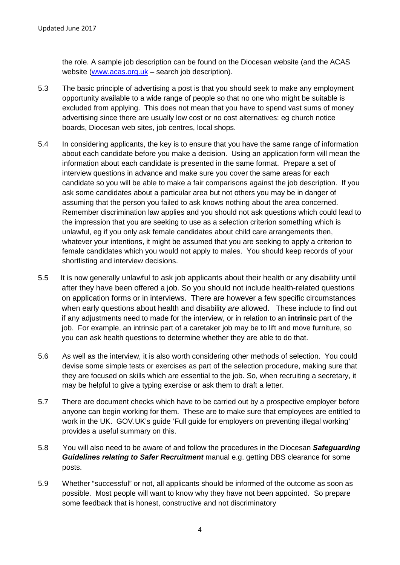the role. A sample job description can be found on the Diocesan website (and the ACAS website [\(www.acas.org.uk](http://www.acas.org.uk/) – search job description).

- 5.3 The basic principle of advertising a post is that you should seek to make any employment opportunity available to a wide range of people so that no one who might be suitable is excluded from applying. This does not mean that you have to spend vast sums of money advertising since there are usually low cost or no cost alternatives: eg church notice boards, Diocesan web sites, job centres, local shops.
- 5.4 In considering applicants, the key is to ensure that you have the same range of information about each candidate before you make a decision. Using an application form will mean the information about each candidate is presented in the same format. Prepare a set of interview questions in advance and make sure you cover the same areas for each candidate so you will be able to make a fair comparisons against the job description. If you ask some candidates about a particular area but not others you may be in danger of assuming that the person you failed to ask knows nothing about the area concerned. Remember discrimination law applies and you should not ask questions which could lead to the impression that you are seeking to use as a selection criterion something which is unlawful, eg if you only ask female candidates about child care arrangements then, whatever your intentions, it might be assumed that you are seeking to apply a criterion to female candidates which you would not apply to males. You should keep records of your shortlisting and interview decisions.
- 5.5 It is now generally unlawful to ask job applicants about their health or any disability until after they have been offered a job. So you should not include health-related questions on application forms or in interviews. There are however a few specific circumstances when early questions about health and disability *are* allowed. These include to find out if any adjustments need to made for the interview, or in relation to an **intrinsic** part of the job. For example, an intrinsic part of a caretaker job may be to lift and move furniture, so you can ask health questions to determine whether they are able to do that.
- 5.6 As well as the interview, it is also worth considering other methods of selection. You could devise some simple tests or exercises as part of the selection procedure, making sure that they are focused on skills which are essential to the job. So, when recruiting a secretary, it may be helpful to give a typing exercise or ask them to draft a letter.
- 5.7 There are document checks which have to be carried out by a prospective employer before anyone can begin working for them. These are to make sure that employees are entitled to work in the UK. GOV.UK's guide 'Full guide for employers on preventing illegal working' provides a useful summary on this.
- 5.8 You will also need to be aware of and follow the procedures in the Diocesan *Safeguarding Guidelines relating to Safer Recruitment* manual e.g. getting DBS clearance for some posts.
- 5.9 Whether "successful" or not, all applicants should be informed of the outcome as soon as possible. Most people will want to know why they have not been appointed. So prepare some feedback that is honest, constructive and not discriminatory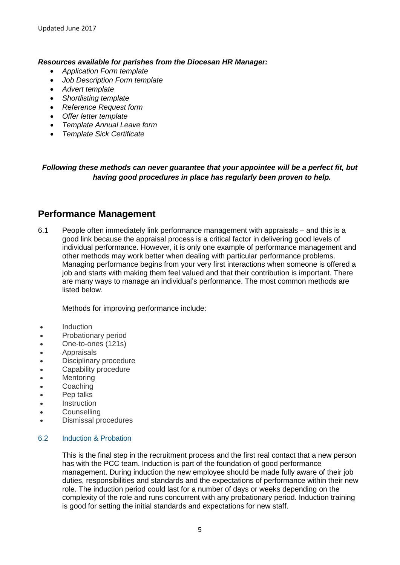## *Resources available for parishes from the Diocesan HR Manager:*

- *Application Form template*
- *Job Description Form template*
- *Advert template*
- *Shortlisting template*
- *Reference Request form*
- *Offer letter template*
- *Template Annual Leave form*
- *Template Sick Certificate*

# *Following these methods can never guarantee that your appointee will be a perfect fit, but having good procedures in place has regularly been proven to help.*

# **Performance Management**

6.1 People often immediately link performance management with appraisals – and this is a good link because the appraisal process is a critical factor in delivering good levels of individual performance. However, it is only one example of performance management and other methods may work better when dealing with particular performance problems. Managing performance begins from your very first interactions when someone is offered a job and starts with making them feel valued and that their contribution is important. There are many ways to manage an individual's performance. The most common methods are listed below.

Methods for improving performance include:

- Induction
- Probationary period
- One-to-ones (121s)
- Appraisals
- Disciplinary procedure
- Capability procedure
- Mentoring
- Coaching
- Pep talks
- Instruction
- **Counselling**
- Dismissal procedures

## 6.2 Induction & Probation

This is the final step in the recruitment process and the first real contact that a new person has with the PCC team. Induction is part of the foundation of good performance management. During induction the new employee should be made fully aware of their job duties, responsibilities and standards and the expectations of performance within their new role. The induction period could last for a number of days or weeks depending on the complexity of the role and runs concurrent with any probationary period. Induction training is good for setting the initial standards and expectations for new staff.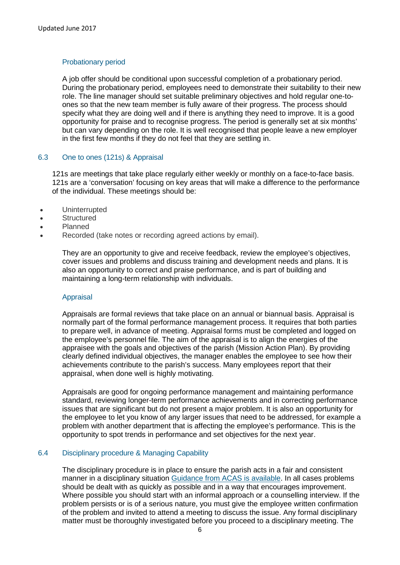#### Probationary period

A job offer should be conditional upon successful completion of a probationary period. During the probationary period, employees need to demonstrate their suitability to their new role. The line manager should set suitable preliminary objectives and hold regular one-toones so that the new team member is fully aware of their progress. The process should specify what they are doing well and if there is anything they need to improve. It is a good opportunity for praise and to recognise progress. The period is generally set at six months' but can vary depending on the role. It is well recognised that people leave a new employer in the first few months if they do not feel that they are settling in.

## 6.3 One to ones (121s) & Appraisal

121s are meetings that take place regularly either weekly or monthly on a face-to-face basis. 121s are a 'conversation' focusing on key areas that will make a difference to the performance of the individual. These meetings should be:

- Uninterrupted
- Structured
- Planned
- Recorded (take notes or recording agreed actions by email).

They are an opportunity to give and receive feedback, review the employee's objectives, cover issues and problems and discuss training and development needs and plans. It is also an opportunity to correct and praise performance, and is part of building and maintaining a long-term relationship with individuals.

#### Appraisal

Appraisals are formal reviews that take place on an annual or biannual basis. Appraisal is normally part of the formal performance management process. It requires that both parties to prepare well, in advance of meeting. Appraisal forms must be completed and logged on the employee's personnel file. The aim of the appraisal is to align the energies of the appraisee with the goals and objectives of the parish (Mission Action Plan). By providing clearly defined individual objectives, the manager enables the employee to see how their achievements contribute to the parish's success. Many employees report that their appraisal, when done well is highly motivating.

Appraisals are good for ongoing performance management and maintaining performance standard, reviewing longer-term performance achievements and in correcting performance issues that are significant but do not present a major problem. It is also an opportunity for the employee to let you know of any larger issues that need to be addressed, for example a problem with another department that is affecting the employee's performance. This is the opportunity to spot trends in performance and set objectives for the next year.

#### 6.4 Disciplinary procedure & Managing Capability

The disciplinary procedure is in place to ensure the parish acts in a fair and consistent manner in a disciplinary situation [Guidance from ACAS is available.](http://www.acas.org.uk/index.aspx?articleid=608) In all cases problems should be dealt with as quickly as possible and in a way that encourages improvement. Where possible you should start with an informal approach or a counselling interview. If the problem persists or is of a serious nature, you must give the employee written confirmation of the problem and invited to attend a meeting to discuss the issue. Any formal disciplinary matter must be thoroughly investigated before you proceed to a disciplinary meeting. The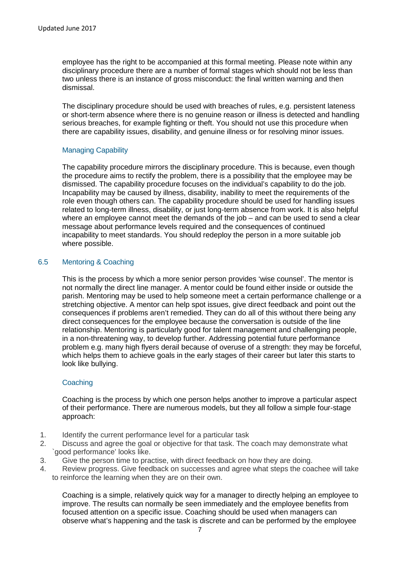employee has the right to be accompanied at this formal meeting. Please note within any disciplinary procedure there are a number of formal stages which should not be less than two unless there is an instance of gross misconduct: the final written warning and then dismissal.

The disciplinary procedure should be used with breaches of rules, e.g. persistent lateness or short-term absence where there is no genuine reason or illness is detected and handling serious breaches, for example fighting or theft. You should not use this procedure when there are capability issues, disability, and genuine illness or for resolving minor issues.

# Managing Capability

The capability procedure mirrors the disciplinary procedure. This is because, even though the procedure aims to rectify the problem, there is a possibility that the employee may be dismissed. The capability procedure focuses on the individual's capability to do the job. Incapability may be caused by illness, disability, inability to meet the requirements of the role even though others can. The capability procedure should be used for handling issues related to long-term illness, disability, or just long-term absence from work. It is also helpful where an employee cannot meet the demands of the job – and can be used to send a clear message about performance levels required and the consequences of continued incapability to meet standards. You should redeploy the person in a more suitable job where possible.

# 6.5 Mentoring & Coaching

This is the process by which a more senior person provides 'wise counsel'. The mentor is not normally the direct line manager. A mentor could be found either inside or outside the parish. Mentoring may be used to help someone meet a certain performance challenge or a stretching objective. A mentor can help spot issues, give direct feedback and point out the consequences if problems aren't remedied. They can do all of this without there being any direct consequences for the employee because the conversation is outside of the line relationship. Mentoring is particularly good for talent management and challenging people, in a non-threatening way, to develop further. Addressing potential future performance problem e.g. many high flyers derail because of overuse of a strength: they may be forceful, which helps them to achieve goals in the early stages of their career but later this starts to look like bullying.

## **Coaching**

Coaching is the process by which one person helps another to improve a particular aspect of their performance. There are numerous models, but they all follow a simple four-stage approach:

- 1. Identify the current performance level for a particular task
- 2. Discuss and agree the goal or objective for that task. The coach may demonstrate what `good performance' looks like.
- 3. Give the person time to practise, with direct feedback on how they are doing.
- 4. Review progress. Give feedback on successes and agree what steps the coachee will take to reinforce the learning when they are on their own.

Coaching is a simple, relatively quick way for a manager to directly helping an employee to improve. The results can normally be seen immediately and the employee benefits from focused attention on a specific issue. Coaching should be used when managers can observe what's happening and the task is discrete and can be performed by the employee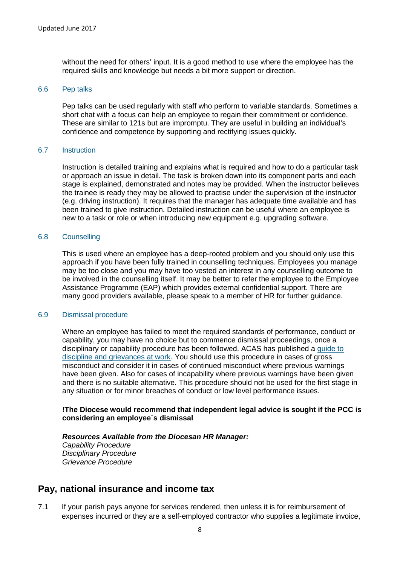without the need for others' input. It is a good method to use where the employee has the required skills and knowledge but needs a bit more support or direction.

#### 6.6 Pep talks

Pep talks can be used regularly with staff who perform to variable standards. Sometimes a short chat with a focus can help an employee to regain their commitment or confidence. These are similar to 121s but are impromptu. They are useful in building an individual's confidence and competence by supporting and rectifying issues quickly.

#### 6.7 Instruction

Instruction is detailed training and explains what is required and how to do a particular task or approach an issue in detail. The task is broken down into its component parts and each stage is explained, demonstrated and notes may be provided. When the instructor believes the trainee is ready they may be allowed to practise under the supervision of the instructor (e.g. driving instruction). It requires that the manager has adequate time available and has been trained to give instruction. Detailed instruction can be useful where an employee is new to a task or role or when introducing new equipment e.g. upgrading software.

#### 6.8 Counselling

This is used where an employee has a deep-rooted problem and you should only use this approach if you have been fully trained in counselling techniques. Employees you manage may be too close and you may have too vested an interest in any counselling outcome to be involved in the counselling itself. It may be better to refer the employee to the Employee Assistance Programme (EAP) which provides external confidential support. There are many good providers available, please speak to a member of HR for further guidance.

#### 6.9 Dismissal procedure

Where an employee has failed to meet the required standards of performance, conduct or capability, you may have no choice but to commence dismissal proceedings, once a disciplinary or capability procedure has been followed. ACAS has published a [guide to](http://www.acas.org.uk/index.aspx?articleid=2179)  [discipline and grievances at work.](http://www.acas.org.uk/index.aspx?articleid=2179) You should use this procedure in cases of gross misconduct and consider it in cases of continued misconduct where previous warnings have been given. Also for cases of incapability where previous warnings have been given and there is no suitable alternative. This procedure should not be used for the first stage in any situation or for minor breaches of conduct or low level performance issues.

## **!The Diocese would recommend that independent legal advice is sought if the PCC is considering an employee`s dismissal**

*Resources Available from the Diocesan HR Manager: Capability Procedure Disciplinary Procedure Grievance Procedure*

# **Pay, national insurance and income tax**

7.1 If your parish pays anyone for services rendered, then unless it is for reimbursement of expenses incurred or they are a self-employed contractor who supplies a legitimate invoice,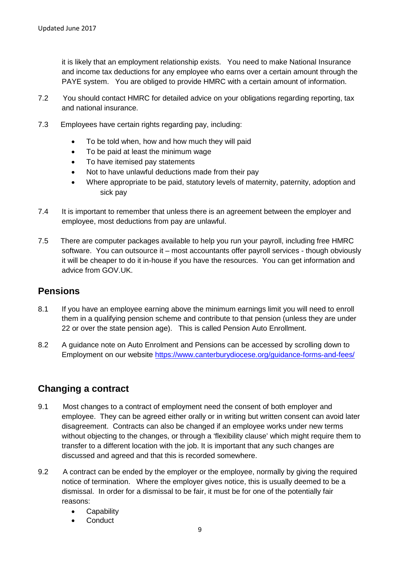it is likely that an employment relationship exists. You need to make National Insurance and income tax deductions for any employee who earns over a certain amount through the PAYE system. You are obliged to provide HMRC with a certain amount of information.

- 7.2 You should contact HMRC for detailed advice on your obligations regarding reporting, tax and national insurance.
- 7.3 Employees have certain rights regarding pay, including:
	- To be told when, how and how much they will paid
	- To be paid at least the minimum wage
	- To have itemised pay statements
	- Not to have unlawful deductions made from their pay
	- Where appropriate to be paid, statutory levels of maternity, paternity, adoption and sick pay
- 7.4 It is important to remember that unless there is an agreement between the employer and employee, most deductions from pay are unlawful.
- 7.5 There are computer packages available to help you run your payroll, including free HMRC software. You can outsource it – most accountants offer payroll services - though obviously it will be cheaper to do it in-house if you have the resources. You can get information and advice from GOV.UK.

# **Pensions**

- 8.1 If you have an employee earning above the minimum earnings limit you will need to enroll them in a qualifying pension scheme and contribute to that pension (unless they are under 22 or over the state pension age). This is called Pension Auto Enrollment.
- 8.2 A guidance note on Auto Enrolment and Pensions can be accessed by scrolling down to Employment on our website<https://www.canterburydiocese.org/guidance-forms-and-fees/>

# **Changing a contract**

- 9.1 Most changes to a contract of employment need the consent of both employer and employee. They can be agreed either orally or in writing but written consent can avoid later disagreement. Contracts can also be changed if an employee works under new terms without objecting to the changes, or through a 'flexibility clause' which might require them to transfer to a different location with the job. It is important that any such changes are discussed and agreed and that this is recorded somewhere.
- 9.2 A contract can be ended by the employer or the employee, normally by giving the required notice of termination. Where the employer gives notice, this is usually deemed to be a dismissal. In order for a dismissal to be fair, it must be for one of the potentially fair reasons:
	- **Capability**
	- **Conduct**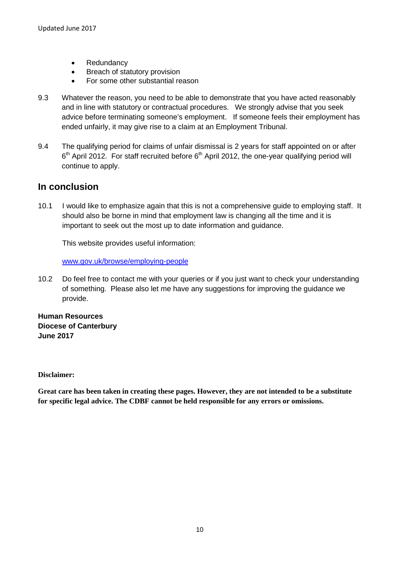- Redundancy
- Breach of statutory provision
- For some other substantial reason
- 9.3 Whatever the reason, you need to be able to demonstrate that you have acted reasonably and in line with statutory or contractual procedures. We strongly advise that you seek advice before terminating someone's employment. If someone feels their employment has ended unfairly, it may give rise to a claim at an Employment Tribunal.
- 9.4 The qualifying period for claims of unfair dismissal is 2 years for staff appointed on or after  $6<sup>th</sup>$  April 2012. For staff recruited before  $6<sup>th</sup>$  April 2012, the one-year qualifying period will continue to apply.

# **In conclusion**

10.1 I would like to emphasize again that this is not a comprehensive guide to employing staff. It should also be borne in mind that employment law is changing all the time and it is important to seek out the most up to date information and guidance.

This website provides useful information:

[www.gov.uk/browse/employing-people](http://www.gov.uk/browse/employing-people)

10.2 Do feel free to contact me with your queries or if you just want to check your understanding of something. Please also let me have any suggestions for improving the guidance we provide.

**Human Resources Diocese of Canterbury June 2017**

**Disclaimer:**

**Great care has been taken in creating these pages. However, they are not intended to be a substitute for specific legal advice. The CDBF cannot be held responsible for any errors or omissions.**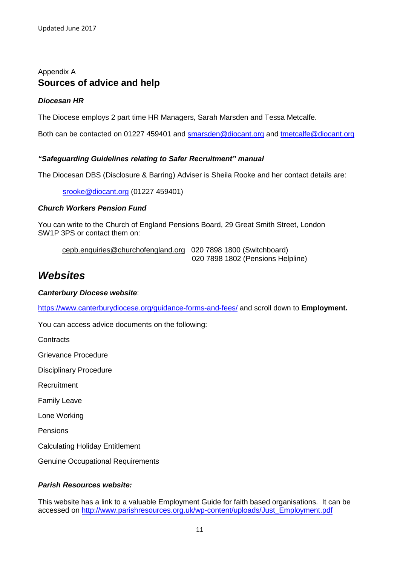# Appendix A **Sources of advice and help**

# *Diocesan HR*

The Diocese employs 2 part time HR Managers, Sarah Marsden and Tessa Metcalfe.

Both can be contacted on 01227 459401 and [smarsden@diocant.org](mailto:smarsden@diocant.org) and [tmetcalfe@diocant.org](mailto:tmetcalfe@diocant.org)

# *"Safeguarding Guidelines relating to Safer Recruitment" manual*

The Diocesan DBS (Disclosure & Barring) Adviser is Sheila Rooke and her contact details are:

[srooke@diocant.org](mailto:srooke@diocant.org) (01227 459401)

## *Church Workers Pension Fund*

You can write to the Church of England Pensions Board, 29 Great Smith Street, London SW1P 3PS or contact them on:

[cepb.enquiries@churchofengland.org](mailto:cepb.enquiries@churchofengland.org) 020 7898 1800 (Switchboard) 020 7898 1802 (Pensions Helpline)

# *Websites*

## *Canterbury Diocese website*:

<https://www.canterburydiocese.org/guidance-forms-and-fees/> and scroll down to **Employment.**

You can access advice documents on the following:

**Contracts** 

Grievance Procedure

Disciplinary Procedure

**Recruitment** 

Family Leave

Lone Working

Pensions

Calculating Holiday Entitlement

Genuine Occupational Requirements

# *Parish Resources website:*

This website has a link to a valuable Employment Guide for faith based organisations. It can be accessed on [http://www.parishresources.org.uk/wp-content/uploads/Just\\_Employment.pdf](http://www.parishresources.org.uk/wp-content/uploads/Just_Employment.pdf)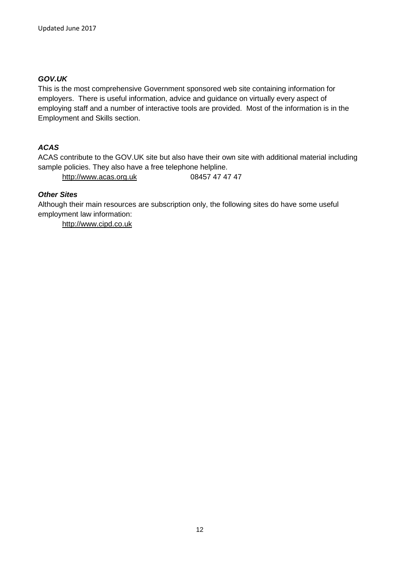# *GOV.UK*

This is the most comprehensive Government sponsored web site containing information for employers. There is useful information, advice and guidance on virtually every aspect of employing staff and a number of interactive tools are provided. Most of the information is in the Employment and Skills section.

# *ACAS*

ACAS contribute to the GOV.UK site but also have their own site with additional material including sample policies. They also have a free telephone helpline.

[http://www.acas.org.uk](http://www.acas.org.uk/) 08457 47 47 47

# *Other Sites*

Although their main resources are subscription only, the following sites do have some useful employment law information:

[http://www.cipd.co.uk](http://www.cipd.co.uk/)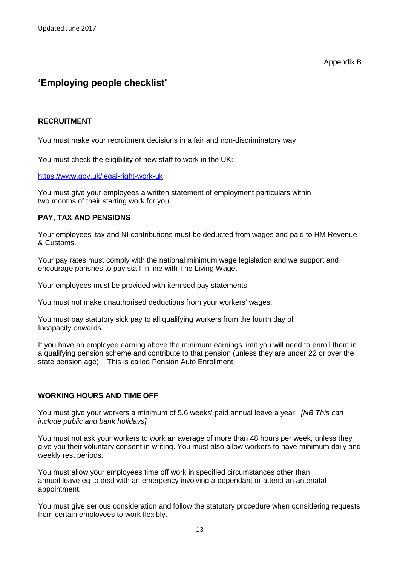Appendix B

# **'Employing people checklist'**

## **RECRUITMENT**

You must make your recruitment decisions in a fair and non-discriminatory way

You must check the eligibility of new staff to work in the UK:

<https://www.gov.uk/legal-right-work-uk>

You must give your employees a written statement of employment particulars within two months of their starting work for you.

## **PAY, TAX AND PENSIONS**

Your employees' tax and NI contributions must be deducted from wages and paid to HM Revenue & Customs.

Your pay rates must comply with the national minimum wage legislation and we support and encourage parishes to pay staff in line with The Living Wage.

Your employees must be provided with itemised pay statements.

You must not make unauthorised deductions from your workers' wages.

You must pay statutory sick pay to all qualifying workers from the fourth day of Incapacity onwards.

If you have an employee earning above the minimum earnings limit you will need to enroll them in a qualifying pension scheme and contribute to that pension (unless they are under 22 or over the state pension age). This is called Pension Auto Enrollment.

# **WORKING HOURS AND TIME OFF**

You must give your workers a minimum of 5.6 weeks' paid annual leave a year. *[NB This can include public and bank holidays]*

You must not ask your workers to work an average of more than 48 hours per week, unless they give you their voluntary consent in writing. You must also allow workers to have minimum daily and weekly rest periods.

You must allow your employees time off work in specified circumstances other than annual leave eg to deal with an emergency involving a dependant or attend an antenatal appointment.

You must give serious consideration and follow the statutory procedure when considering requests from certain employees to work flexibly.